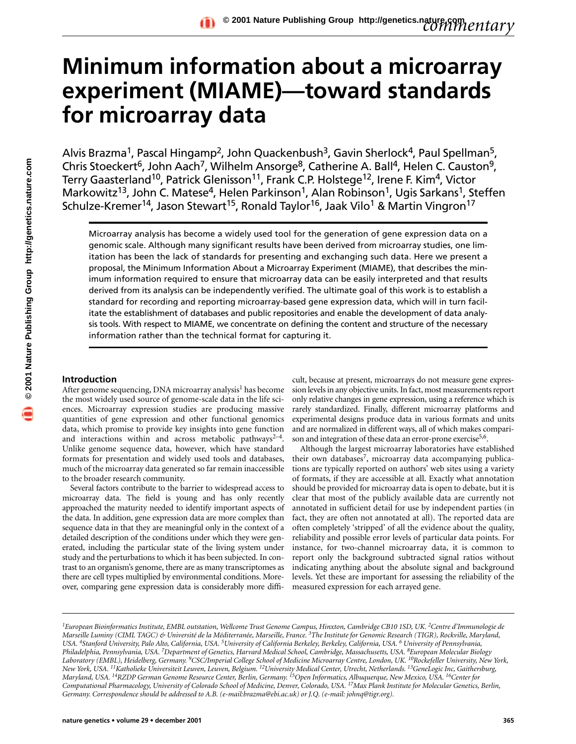# **Minimum information about a microarray experiment (MIAME)—toward standards for microarray data**

Alvis Brazma<sup>1</sup>, Pascal Hingamp<sup>2</sup>, John Quackenbush<sup>3</sup>, Gavin Sherlock<sup>4</sup>, Paul Spellman<sup>5</sup>, Chris Stoeckert<sup>6</sup>, John Aach<sup>7</sup>, Wilhelm Ansorge<sup>8</sup>, Catherine A. Ball<sup>4</sup>, Helen C. Causton<sup>9</sup>, Terry Gaasterland<sup>10</sup>, Patrick Glenisson<sup>11</sup>, Frank C.P. Holstege<sup>12</sup>, Irene F. Kim<sup>4</sup>, Victor Markowitz<sup>13</sup>, John C. Matese<sup>4</sup>, Helen Parkinson<sup>1</sup>, Alan Robinson<sup>1</sup>, Ugis Sarkans<sup>1</sup>, Steffen Schulze-Kremer<sup>14</sup>, Jason Stewart<sup>15</sup>, Ronald Taylor<sup>16</sup>, Jaak Vilo<sup>1</sup> & Martin Vingron<sup>17</sup>

Microarray analysis has become a widely used tool for the generation of gene expression data on a genomic scale. Although many significant results have been derived from microarray studies, one limitation has been the lack of standards for presenting and exchanging such data. Here we present a proposal, the Minimum Information About a Microarray Experiment (MIAME), that describes the minimum information required to ensure that microarray data can be easily interpreted and that results derived from its analysis can be independently verified. The ultimate goal of this work is to establish a standard for recording and reporting microarray-based gene expression data, which will in turn facilitate the establishment of databases and public repositories and enable the development of data analysis tools. With respect to MIAME, we concentrate on defining the content and structure of the necessary information rather than the technical format for capturing it.

## **Introduction**

After genome sequencing, DNA microarray analysis<sup>1</sup> has become the most widely used source of genome-scale data in the life sciences. Microarray expression studies are producing massive quantities of gene expression and other functional genomics data, which promise to provide key insights into gene function and interactions within and across metabolic pathways<sup>2-4</sup>. Unlike genome sequence data, however, which have standard formats for presentation and widely used tools and databases, much of the microarray data generated so far remain inaccessible to the broader research community.

Several factors contribute to the barrier to widespread access to microarray data. The field is young and has only recently approached the maturity needed to identify important aspects of the data. In addition, gene expression data are more complex than sequence data in that they are meaningful only in the context of a detailed description of the conditions under which they were generated, including the particular state of the living system under study and the perturbations to which it has been subjected. In contrast to an organism's genome, there are as many transcriptomes as there are cell types multiplied by environmental conditions. Moreover, comparing gene expression data is considerably more difficult, because at present, microarrays do not measure gene expression levels in any objective units. In fact, most measurements report only relative changes in gene expression, using a reference which is rarely standardized. Finally, different microarray platforms and experimental designs produce data in various formats and units and are normalized in different ways, all of which makes comparison and integration of these data an error-prone exercise<sup>5,6</sup>.

Although the largest microarray laboratories have established their own databases<sup>7</sup>, microarray data accompanying publications are typically reported on authors' web sites using a variety of formats, if they are accessible at all. Exactly what annotation should be provided for microarray data is open to debate, but it is clear that most of the publicly available data are currently not annotated in sufficient detail for use by independent parties (in fact, they are often not annotated at all). The reported data are often completely 'stripped' of all the evidence about the quality, reliability and possible error levels of particular data points. For instance, for two-channel microarray data, it is common to report only the background subtracted signal ratios without indicating anything about the absolute signal and background levels. Yet these are important for assessing the reliability of the measured expression for each arrayed gene.

*<sup>1</sup>European Bioinformatics Institute, EMBL outstation, Wellcome Trust Genome Campus, Hinxton, Cambridge CB10 1SD, UK. 2Centre d'Immunologie de Marseille Luminy (CIML TAGC) & Université de la Méditerranée, Marseille, France. 3The Institute for Genomic Research (TIGR), Rockville, Maryland, USA. 4Stanford University, Palo Alto, California, USA. 5University of California Berkeley, Berkeley, California, USA. 6 University of Pennsylvania, Philadelphia, Pennsylvania, USA. 7Department of Genetics, Harvard Medical School, Cambridge, Massachusetts, USA. 8European Molecular Biology Laboratory (EMBL), Heidelberg, Germany. 9CSC/Imperial College School of Medicine Microarray Centre, London, UK. 10Rockefeller University, New York, New York, USA. 11Katholieke Universiteit Leuven, Leuven, Belgium. 12University Medical Center, Utrecht, Netherlands. 13GeneLogic Inc, Gaithersburg, Maryland, USA. 14RZDP German Genome Resource Center, Berlin, Germany. 15Open Informatics, Albuquerque, New Mexico, USA. 16Center for Computational Pharmacology, University of Colorado School of Medicine, Denver, Colorado, USA. 17Max Plank Institute for Molecular Genetics, Berlin, Germany. Correspondence should be addressed to A.B. (e-mail:brazma@ebi.ac.uk) or J.Q. (e-mail: johnq@tigr.org).*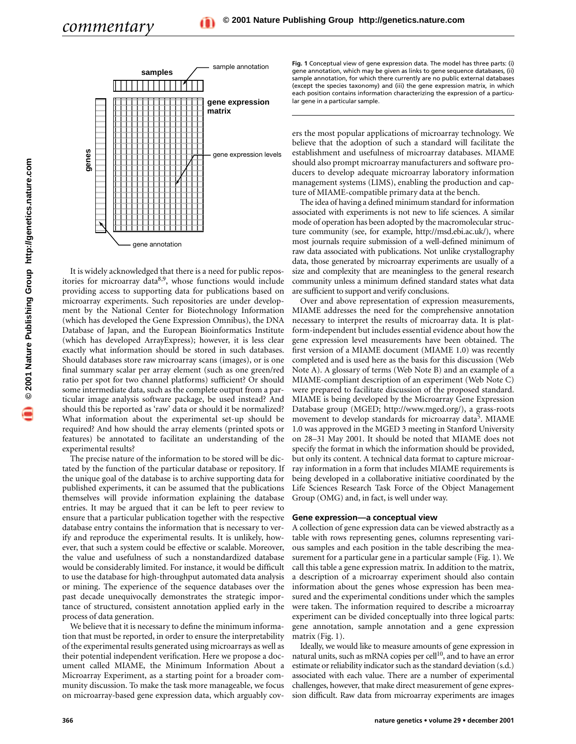

It is widely acknowledged that there is a need for public repositories for microarray data<sup>8,9</sup>, whose functions would include providing access to supporting data for publications based on microarray experiments. Such repositories are under development by the National Center for Biotechnology Information (which has developed the Gene Expression Omnibus), the DNA Database of Japan, and the European Bioinformatics Institute (which has developed ArrayExpress); however, it is less clear exactly what information should be stored in such databases. Should databases store raw microarray scans (images), or is one final summary scalar per array element (such as one green/red ratio per spot for two channel platforms) sufficient? Or should some intermediate data, such as the complete output from a particular image analysis software package, be used instead? And should this be reported as 'raw' data or should it be normalized? What information about the experimental set-up should be required? And how should the array elements (printed spots or features) be annotated to facilitate an understanding of the experimental results?

The precise nature of the information to be stored will be dictated by the function of the particular database or repository. If the unique goal of the database is to archive supporting data for published experiments, it can be assumed that the publications themselves will provide information explaining the database entries. It may be argued that it can be left to peer review to ensure that a particular publication together with the respective database entry contains the information that is necessary to verify and reproduce the experimental results. It is unlikely, however, that such a system could be effective or scalable. Moreover, the value and usefulness of such a nonstandardized database would be considerably limited. For instance, it would be difficult to use the database for high-throughput automated data analysis or mining. The experience of the sequence databases over the past decade unequivocally demonstrates the strategic importance of structured, consistent annotation applied early in the process of data generation.

We believe that it is necessary to define the minimum information that must be reported, in order to ensure the interpretability of the experimental results generated using microarrays as well as their potential independent verification. Here we propose a document called MIAME, the Minimum Information About a Microarray Experiment, as a starting point for a broader community discussion. To make the task more manageable, we focus on microarray-based gene expression data, which arguably cov**Fig. 1** Conceptual view of gene expression data. The model has three parts: (i) gene annotation, which may be given as links to gene sequence databases, (ii) sample annotation, for which there currently are no public external databases (except the species taxonomy) and (iii) the gene expression matrix, in which each position contains information characterizing the expression of a particular gene in a particular sample.

ers the most popular applications of microarray technology. We believe that the adoption of such a standard will facilitate the establishment and usefulness of microarray databases. MIAME should also prompt microarray manufacturers and software producers to develop adequate microarray laboratory information management systems (LIMS), enabling the production and capture of MIAME-compatible primary data at the bench.

The idea of having a defined minimum standard for information associated with experiments is not new to life sciences. A similar mode of operation has been adopted by the macromolecular structure community (see, for example, http://msd.ebi.ac.uk/), where most journals require submission of a well-defined minimum of raw data associated with publications. Not unlike crystallography data, those generated by microarray experiments are usually of a size and complexity that are meaningless to the general research community unless a minimum defined standard states what data are sufficient to support and verify conclusions.

Over and above representation of expression measurements, MIAME addresses the need for the comprehensive annotation necessary to interpret the results of microarray data. It is platform-independent but includes essential evidence about how the gene expression level measurements have been obtained. The first version of a MIAME document (MIAME 1.0) was recently completed and is used here as the basis for this discussion (Web Note A). A glossary of terms (Web Note B) and an example of a MIAME-compliant description of an experiment (Web Note C) were prepared to facilitate discussion of the proposed standard. MIAME is being developed by the Microarray Gene Expression Database group (MGED; http://www.mged.org/), a grass-roots movement to develop standards for microarray data<sup>5</sup>. MIAME 1.0 was approved in the MGED 3 meeting in Stanford University on 28–31 May 2001. It should be noted that MIAME does not specify the format in which the information should be provided, but only its content. A technical data format to capture microarray information in a form that includes MIAME requirements is being developed in a collaborative initiative coordinated by the Life Sciences Research Task Force of the Object Management Group (OMG) and, in fact, is well under way.

#### **Gene expression—a conceptual view**

A collection of gene expression data can be viewed abstractly as a table with rows representing genes, columns representing various samples and each position in the table describing the measurement for a particular gene in a particular sample (Fig. 1). We call this table a gene expression matrix*.* In addition to the matrix, a description of a microarray experiment should also contain information about the genes whose expression has been measured and the experimental conditions under which the samples were taken. The information required to describe a microarray experiment can be divided conceptually into three logical parts: gene annotation, sample annotation and a gene expression matrix (Fig. 1).

Ideally, we would like to measure amounts of gene expression in natural units, such as mRNA copies per cell<sup>10</sup>, and to have an error estimate or reliability indicator such as the standard deviation (s.d.) associated with each value. There are a number of experimental challenges, however, that make direct measurement of gene expression difficult. Raw data from microarray experiments are images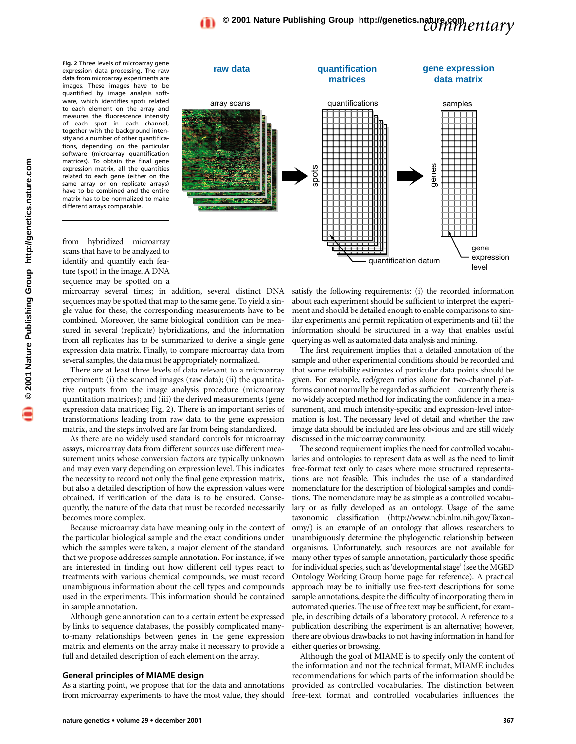**quantification matrices**

array scans and the second vertice quantifications and samples samples

spots

**Fig. 2** Three levels of microarray gene expression data processing. The raw data from microarray experiments are images. These images have to be quantified by image analysis software, which identifies spots related to each element on the array and measures the fluorescence intensity of each spot in each channel, together with the background intensity and a number of other quantifications, depending on the particular software (microarray quantification matrices). To obtain the final gene expression matrix, all the quantities related to each gene (either on the same array or on replicate arrays) have to be combined and the entire matrix has to be normalized to make different arrays comparable.

from hybridized microarray scans that have to be analyzed to identify and quantify each feature (spot) in the image. A DNA sequence may be spotted on a

microarray several times; in addition, several distinct DNA sequences may be spotted that map to the same gene. To yield a single value for these, the corresponding measurements have to be combined. Moreover, the same biological condition can be measured in several (replicate) hybridizations, and the information from all replicates has to be summarized to derive a single gene expression data matrix. Finally, to compare microarray data from several samples, the data must be appropriately normalized.

**raw data**

There are at least three levels of data relevant to a microarray experiment: (i) the scanned images (raw data); (ii) the quantitative outputs from the image analysis procedure (microarray quantitation matrices); and (iii) the derived measurements (gene expression data matrices; Fig. 2). There is an important series of transformations leading from raw data to the gene expression matrix, and the steps involved are far from being standardized.

As there are no widely used standard controls for microarray assays, microarray data from different sources use different measurement units whose conversion factors are typically unknown and may even vary depending on expression level. This indicates the necessity to record not only the final gene expression matrix, but also a detailed description of how the expression values were obtained, if verification of the data is to be ensured. Consequently, the nature of the data that must be recorded necessarily becomes more complex.

Because microarray data have meaning only in the context of the particular biological sample and the exact conditions under which the samples were taken, a major element of the standard that we propose addresses sample annotation. For instance, if we are interested in finding out how different cell types react to treatments with various chemical compounds, we must record unambiguous information about the cell types and compounds used in the experiments. This information should be contained in sample annotation.

Although gene annotation can to a certain extent be expressed by links to sequence databases, the possibly complicated manyto-many relationships between genes in the gene expression matrix and elements on the array make it necessary to provide a full and detailed description of each element on the array.

#### **General principles of MIAME design**

As a starting point, we propose that for the data and annotations from microarray experiments to have the most value, they should



**gene expression data matrix**

genes

ilar experiments and permit replication of experiments and (ii) the information should be structured in a way that enables useful querying as well as automated data analysis and mining.

The first requirement implies that a detailed annotation of the sample and other experimental conditions should be recorded and that some reliability estimates of particular data points should be given. For example, red/green ratios alone for two-channel platforms cannot normally be regarded as sufficient-currently there is no widely accepted method for indicating the confidence in a measurement, and much intensity-specific and expression-level information is lost. The necessary level of detail and whether the raw image data should be included are less obvious and are still widely discussed in the microarray community.

The second requirement implies the need for controlled vocabularies and ontologies to represent data as well as the need to limit free-format text only to cases where more structured representations are not feasible. This includes the use of a standardized nomenclature for the description of biological samples and conditions. The nomenclature may be as simple as a controlled vocabulary or as fully developed as an ontology. Usage of the same taxonomic classification (http://www.ncbi.nlm.nih.gov/Taxonomy/) is an example of an ontology that allows researchers to unambiguously determine the phylogenetic relationship between organisms. Unfortunately, such resources are not available for many other types of sample annotation, particularly those specific for individual species, such as 'developmental stage' (see the MGED Ontology Working Group home page for reference). A practical approach may be to initially use free-text descriptions for some sample annotations, despite the difficulty of incorporating them in automated queries. The use of free text may be sufficient, for example, in describing details of a laboratory protocol. A reference to a publication describing the experiment is an alternative; however, there are obvious drawbacks to not having information in hand for either queries or browsing.

Although the goal of MIAME is to specify only the content of the information and not the technical format, MIAME includes recommendations for which parts of the information should be provided as controlled vocabularies. The distinction between free-text format and controlled vocabularies influences the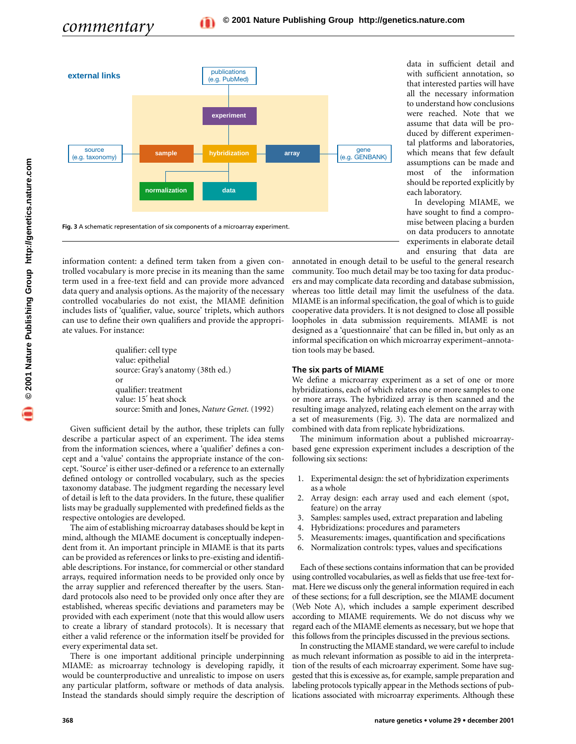

data in sufficient detail and with sufficient annotation, so that interested parties will have all the necessary information to understand how conclusions were reached. Note that we assume that data will be produced by different experimental platforms and laboratories, which means that few default assumptions can be made and most of the information should be reported explicitly by each laboratory.

In developing MIAME, we have sought to find a compromise between placing a burden on data producers to annotate experiments in elaborate detail and ensuring that data are

information content: a defined term taken from a given controlled vocabulary is more precise in its meaning than the same term used in a free-text field and can provide more advanced data query and analysis options. As the majority of the necessary controlled vocabularies do not exist, the MIAME definition includes lists of 'qualifier, value, source' triplets, which authors can use to define their own qualifiers and provide the appropriate values. For instance:

> qualifier: cell type value: epithelial source: Gray's anatomy (38th ed.) or qualifier: treatment value: 15′ heat shock source: Smith and Jones, *Nature Genet.* (1992)

Given sufficient detail by the author, these triplets can fully describe a particular aspect of an experiment. The idea stems from the information sciences, where a 'qualifier' defines a concept and a 'value' contains the appropriate instance of the concept. 'Source' is either user-defined or a reference to an externally defined ontology or controlled vocabulary, such as the species taxonomy database. The judgment regarding the necessary level of detail is left to the data providers. In the future, these qualifier lists may be gradually supplemented with predefined fields as the respective ontologies are developed.

The aim of establishing microarray databases should be kept in mind, although the MIAME document is conceptually independent from it. An important principle in MIAME is that its parts can be provided as references or links to pre-existing and identifiable descriptions. For instance, for commercial or other standard arrays, required information needs to be provided only once by the array supplier and referenced thereafter by the users. Standard protocols also need to be provided only once after they are established, whereas specific deviations and parameters may be provided with each experiment (note that this would allow users to create a library of standard protocols). It is necessary that either a valid reference or the information itself be provided for every experimental data set.

There is one important additional principle underpinning MIAME: as microarray technology is developing rapidly, it would be counterproductive and unrealistic to impose on users any particular platform, software or methods of data analysis. Instead the standards should simply require the description of annotated in enough detail to be useful to the general research community. Too much detail may be too taxing for data producers and may complicate data recording and database submission, whereas too little detail may limit the usefulness of the data. MIAME is an informal specification, the goal of which is to guide cooperative data providers. It is not designed to close all possible loopholes in data submission requirements. MIAME is not designed as a 'questionnaire' that can be filled in, but only as an informal specification on which microarray experiment–annotation tools may be based.

### **The six parts of MIAME**

We define a microarray experiment as a set of one or more hybridizations, each of which relates one or more samples to one or more arrays. The hybridized array is then scanned and the resulting image analyzed, relating each element on the array with a set of measurements (Fig. 3). The data are normalized and combined with data from replicate hybridizations.

The minimum information about a published microarraybased gene expression experiment includes a description of the following six sections:

- 1. Experimental design: the set of hybridization experiments as a whole
- 2. Array design: each array used and each element (spot, feature) on the array
- 3. Samples: samples used, extract preparation and labeling
- 4. Hybridizations: procedures and parameters
- 5. Measurements: images, quantification and specifications
- 6. Normalization controls: types, values and specifications

Each of these sections contains information that can be provided using controlled vocabularies, as well as fields that use free-text format. Here we discuss only the general information required in each of these sections; for a full description, see the MIAME document (Web Note A), which includes a sample experiment described according to MIAME requirements. We do not discuss why we regard each of the MIAME elements as necessary, but we hope that this follows from the principles discussed in the previous sections.

In constructing the MIAME standard, we were careful to include as much relevant information as possible to aid in the interpretation of the results of each microarray experiment. Some have suggested that this is excessive as, for example, sample preparation and labeling protocols typically appear in the Methods sections of publications associated with microarray experiments. Although these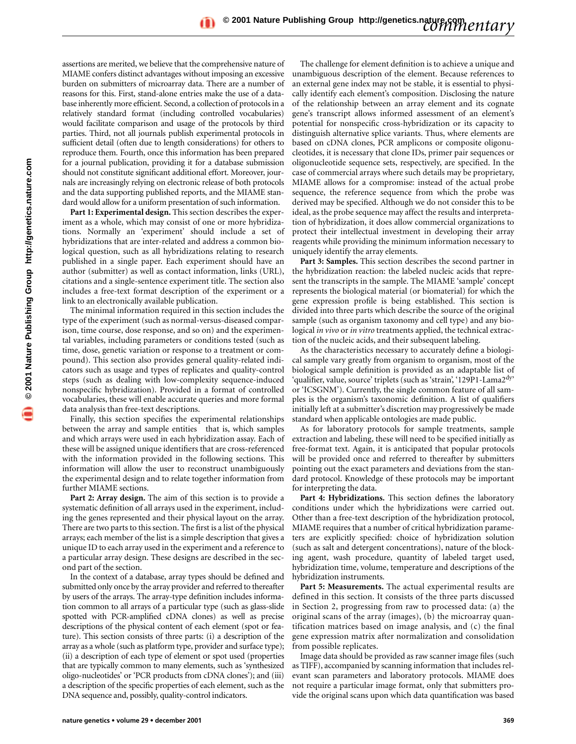assertions are merited, we believe that the comprehensive nature of MIAME confers distinct advantages without imposing an excessive burden on submitters of microarray data. There are a number of reasons for this. First, stand-alone entries make the use of a database inherently more efficient. Second, a collection of protocols in a relatively standard format (including controlled vocabularies) would facilitate comparison and usage of the protocols by third parties. Third, not all journals publish experimental protocols in sufficient detail (often due to length considerations) for others to reproduce them. Fourth, once this information has been prepared for a journal publication, providing it for a database submission should not constitute significant additional effort. Moreover, journals are increasingly relying on electronic release of both protocols and the data supporting published reports, and the MIAME standard would allow for a uniform presentation of such information.

**Part 1: Experimental design.** This section describes the experiment as a whole, which may consist of one or more hybridizations. Normally an 'experiment' should include a set of hybridizations that are inter-related and address a common biological question, such as all hybridizations relating to research published in a single paper. Each experiment should have an author (submitter) as well as contact information, links (URL), citations and a single-sentence experiment title. The section also includes a free-text format description of the experiment or a link to an electronically available publication.

The minimal information required in this section includes the type of the experiment (such as normal-versus-diseased comparison, time course, dose response, and so on) and the experimental variables, including parameters or conditions tested (such as time, dose, genetic variation or response to a treatment or compound). This section also provides general quality-related indicators such as usage and types of replicates and quality-control steps (such as dealing with low-complexity sequence-induced nonspecific hybridization). Provided in a format of controlled vocabularies, these will enable accurate queries and more formal data analysis than free-text descriptions.

Finally, this section specifies the experimental relationships between the array and sample entities—that is, which samples and which arrays were used in each hybridization assay. Each of these will be assigned unique identifiers that are cross-referenced with the information provided in the following sections. This information will allow the user to reconstruct unambiguously the experimental design and to relate together information from further MIAME sections.

Part 2: Array design. The aim of this section is to provide a systematic definition of all arrays used in the experiment, including the genes represented and their physical layout on the array. There are two parts to this section. The first is a list of the physical arrays; each member of the list is a simple description that gives a unique ID to each array used in the experiment and a reference to a particular array design. These designs are described in the second part of the section.

In the context of a database, array types should be defined and submitted only once by the array provider and referred to thereafter by users of the arrays. The array-type definition includes information common to all arrays of a particular type (such as glass-slide spotted with PCR-amplified cDNA clones) as well as precise descriptions of the physical content of each element (spot or feature). This section consists of three parts: (i) a description of the array as a whole (such as platform type, provider and surface type); (ii) a description of each type of element or spot used (properties that are typically common to many elements, such as 'synthesized oligo-nucleotides' or 'PCR products from cDNA clones'); and (iii) a description of the specific properties of each element, such as the DNA sequence and, possibly, quality-control indicators.

The challenge for element definition is to achieve a unique and unambiguous description of the element. Because references to an external gene index may not be stable, it is essential to physically identify each element's composition. Disclosing the nature of the relationship between an array element and its cognate gene's transcript allows informed assessment of an element's potential for nonspecific cross-hybridization or its capacity to distinguish alternative splice variants. Thus, where elements are based on cDNA clones, PCR amplicons or composite oligonucleotides, it is necessary that clone IDs, primer pair sequences or oligonucleotide sequence sets, respectively, are specified. In the case of commercial arrays where such details may be proprietary, MIAME allows for a compromise: instead of the actual probe sequence, the reference sequence from which the probe was derived may be specified. Although we do not consider this to be ideal, as the probe sequence may affect the results and interpretation of hybridization, it does allow commercial organizations to protect their intellectual investment in developing their array reagents while providing the minimum information necessary to uniquely identify the array elements.

Part 3: Samples. This section describes the second partner in the hybridization reaction: the labeled nucleic acids that represent the transcripts in the sample. The MIAME 'sample' concept represents the biological material (or biomaterial) for which the gene expression profile is being established. This section is divided into three parts which describe the source of the original sample (such as organism taxonomy and cell type) and any biological *in vivo* or *in vitro* treatments applied, the technical extraction of the nucleic acids, and their subsequent labeling.

As the characteristics necessary to accurately define a biological sample vary greatly from organism to organism, most of the biological sample definition is provided as an adaptable list of 'qualifier, value, source' triplets (such as 'strain', '129P1-Lama2dy' or 'ICSGNM'). Currently, the single common feature of all samples is the organism's taxonomic definition. A list of qualifiers initially left at a submitter's discretion may progressively be made standard when applicable ontologies are made public.

As for laboratory protocols for sample treatments, sample extraction and labeling, these will need to be specified initially as free-format text. Again, it is anticipated that popular protocols will be provided once and referred to thereafter by submitters pointing out the exact parameters and deviations from the standard protocol. Knowledge of these protocols may be important for interpreting the data.

Part 4: Hybridizations. This section defines the laboratory conditions under which the hybridizations were carried out. Other than a free-text description of the hybridization protocol, MIAME requires that a number of critical hybridization parameters are explicitly specified: choice of hybridization solution (such as salt and detergent concentrations), nature of the blocking agent, wash procedure, quantity of labeled target used, hybridization time, volume, temperature and descriptions of the hybridization instruments.

**Part 5: Measurements.** The actual experimental results are defined in this section. It consists of the three parts discussed in Section 2, progressing from raw to processed data: (a) the original scans of the array (images), (b) the microarray quantification matrices based on image analysis, and (c) the final gene expression matrix after normalization and consolidation from possible replicates.

Image data should be provided as raw scanner image files (such as TIFF), accompanied by scanning information that includes relevant scan parameters and laboratory protocols. MIAME does not require a particular image format, only that submitters provide the original scans upon which data quantification was based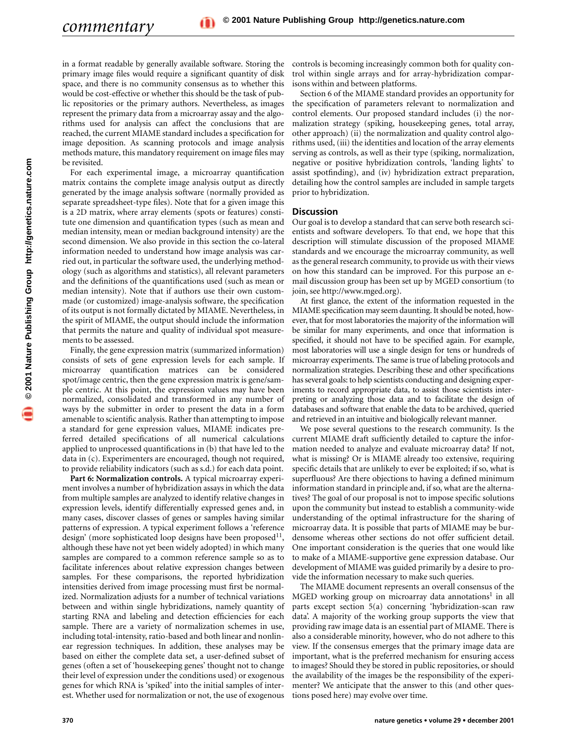in a format readable by generally available software. Storing the primary image files would require a significant quantity of disk space, and there is no community consensus as to whether this would be cost-effective or whether this should be the task of public repositories or the primary authors. Nevertheless, as images represent the primary data from a microarray assay and the algorithms used for analysis can affect the conclusions that are reached, the current MIAME standard includes a specification for image deposition. As scanning protocols and image analysis methods mature, this mandatory requirement on image files may be revisited.

For each experimental image, a microarray quantification matrix contains the complete image analysis output as directly generated by the image analysis software (normally provided as separate spreadsheet-type files). Note that for a given image this is a 2D matrix, where array elements (spots or features) constitute one dimension and quantification types (such as mean and median intensity, mean or median background intensity) are the second dimension. We also provide in this section the co-lateral information needed to understand how image analysis was carried out, in particular the software used, the underlying methodology (such as algorithms and statistics), all relevant parameters and the definitions of the quantifications used (such as mean or median intensity). Note that if authors use their own custommade (or customized) image-analysis software, the specification of its output is not formally dictated by MIAME. Nevertheless, in the spirit of MIAME, the output should include the information that permits the nature and quality of individual spot measurements to be assessed.

Finally, the gene expression matrix (summarized information) consists of sets of gene expression levels for each sample. If microarray quantification matrices can be considered spot/image centric, then the gene expression matrix is gene/sample centric. At this point, the expression values may have been normalized, consolidated and transformed in any number of ways by the submitter in order to present the data in a form amenable to scientific analysis. Rather than attempting to impose a standard for gene expression values, MIAME indicates preferred detailed specifications of all numerical calculations applied to unprocessed quantifications in (b) that have led to the data in (c). Experimenters are encouraged, though not required, to provide reliability indicators (such as s.d.) for each data point.

**Part 6: Normalization controls.** A typical microarray experiment involves a number of hybridization assays in which the data from multiple samples are analyzed to identify relative changes in expression levels, identify differentially expressed genes and, in many cases, discover classes of genes or samples having similar patterns of expression. A typical experiment follows a 'reference design' (more sophisticated loop designs have been proposed $11$ , although these have not yet been widely adopted) in which many samples are compared to a common reference sample so as to facilitate inferences about relative expression changes between samples. For these comparisons, the reported hybridization intensities derived from image processing must first be normalized. Normalization adjusts for a number of technical variations between and within single hybridizations, namely quantity of starting RNA and labeling and detection efficiencies for each sample. There are a variety of normalization schemes in use, including total-intensity, ratio-based and both linear and nonlinear regression techniques. In addition, these analyses may be based on either the complete data set, a user-defined subset of genes (often a set of 'housekeeping genes' thought not to change their level of expression under the conditions used) or exogenous genes for which RNA is 'spiked' into the initial samples of interest. Whether used for normalization or not, the use of exogenous controls is becoming increasingly common both for quality control within single arrays and for array-hybridization comparisons within and between platforms.

Section 6 of the MIAME standard provides an opportunity for the specification of parameters relevant to normalization and control elements. Our proposed standard includes (i) the normalization strategy (spiking, housekeeping genes, total array, other approach) (ii) the normalization and quality control algorithms used, (iii) the identities and location of the array elements serving as controls, as well as their type (spiking, normalization, negative or positive hybridization controls, 'landing lights' to assist spotfinding), and (iv) hybridization extract preparation, detailing how the control samples are included in sample targets prior to hybridization.

#### **Discussion**

Our goal is to develop a standard that can serve both research scientists and software developers. To that end, we hope that this description will stimulate discussion of the proposed MIAME standards and we encourage the microarray community, as well as the general research community, to provide us with their views on how this standard can be improved. For this purpose an email discussion group has been set up by MGED consortium (to join, see http://www.mged.org).

At first glance, the extent of the information requested in the MIAME specification may seem daunting. It should be noted, however, that for most laboratories the majority of the information will be similar for many experiments, and once that information is specified, it should not have to be specified again. For example, most laboratories will use a single design for tens or hundreds of microarray experiments. The same is true of labeling protocols and normalization strategies. Describing these and other specifications has several goals: to help scientists conducting and designing experiments to record appropriate data, to assist those scientists interpreting or analyzing those data and to facilitate the design of databases and software that enable the data to be archived, queried and retrieved in an intuitive and biologically relevant manner.

We pose several questions to the research community. Is the current MIAME draft sufficiently detailed to capture the information needed to analyze and evaluate microarray data? If not, what is missing? Or is MIAME already too extensive, requiring specific details that are unlikely to ever be exploited; if so, what is superfluous? Are there objections to having a defined minimum information standard in principle and, if so, what are the alternatives? The goal of our proposal is not to impose specific solutions upon the community but instead to establish a community-wide understanding of the optimal infrastructure for the sharing of microarray data. It is possible that parts of MIAME may be burdensome whereas other sections do not offer sufficient detail. One important consideration is the queries that one would like to make of a MIAME-supportive gene expression database. Our development of MIAME was guided primarily by a desire to provide the information necessary to make such queries.

The MIAME document represents an overall consensus of the  $MGED$  working group on microarray data annotations<sup>1</sup> in all parts except section 5(a) concerning 'hybridization-scan raw data'. A majority of the working group supports the view that providing raw image data is an essential part of MIAME. There is also a considerable minority, however, who do not adhere to this view. If the consensus emerges that the primary image data are important, what is the preferred mechanism for ensuring access to images? Should they be stored in public repositories, or should the availability of the images be the responsibility of the experimenter? We anticipate that the answer to this (and other questions posed here) may evolve over time.